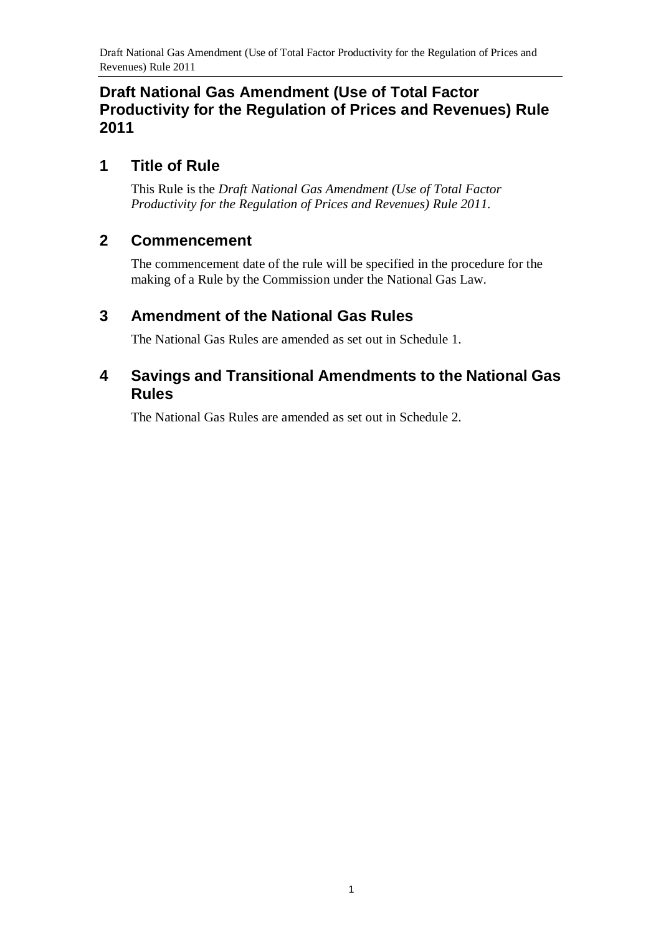# **Draft National Gas Amendment (Use of Total Factor Productivity for the Regulation of Prices and Revenues) Rule 2011**

# **1 Title of Rule**

This Rule is the *Draft National Gas Amendment (Use of Total Factor Productivity for the Regulation of Prices and Revenues) Rule 2011*.

### **2 Commencement**

The commencement date of the rule will be specified in the procedure for the making of a Rule by the Commission under the National Gas Law.

# <span id="page-0-0"></span>**3 Amendment of the National Gas Rules**

The National Gas Rules are amended as set out in [Schedule 1.](#page-1-0)

# <span id="page-0-1"></span>**4 Savings and Transitional Amendments to the National Gas Rules**

The National Gas Rules are amended as set out in [Schedule 2.](#page-19-0)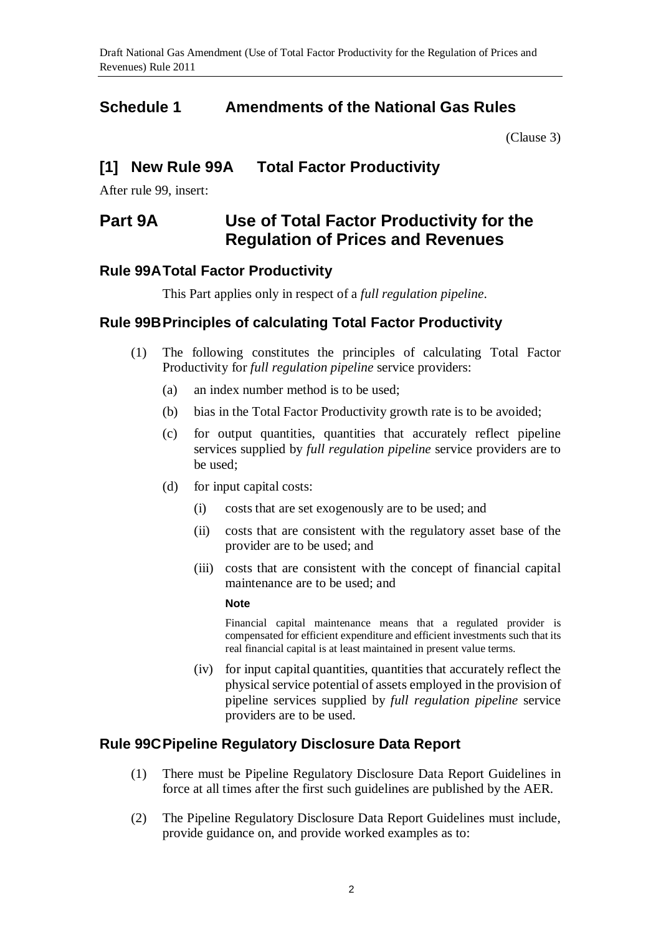# <span id="page-1-0"></span>**Schedule 1 Amendments of the National Gas Rules**

[\(Clause](#page-0-0) 3)

# **[1] New Rule 99A Total Factor Productivity**

After rule 99, insert:

# **Part 9A Use of Total Factor Productivity for the Regulation of Prices and Revenues**

### **Rule 99ATotal Factor Productivity**

This Part applies only in respect of a *full regulation pipeline*.

### **Rule 99BPrinciples of calculating Total Factor Productivity**

- (1) The following constitutes the principles of calculating Total Factor Productivity for *full regulation pipeline* service providers:
	- (a) an index number method is to be used;
	- (b) bias in the Total Factor Productivity growth rate is to be avoided;
	- (c) for output quantities, quantities that accurately reflect pipeline services supplied by *full regulation pipeline* service providers are to be used;
	- (d) for input capital costs:
		- (i) costs that are set exogenously are to be used; and
		- (ii) costs that are consistent with the regulatory asset base of the provider are to be used; and
		- (iii) costs that are consistent with the concept of financial capital maintenance are to be used; and

#### **Note**

Financial capital maintenance means that a regulated provider is compensated for efficient expenditure and efficient investments such that its real financial capital is at least maintained in present value terms.

(iv) for input capital quantities, quantities that accurately reflect the physical service potential of assets employed in the provision of pipeline services supplied by *full regulation pipeline* service providers are to be used.

### **Rule 99CPipeline Regulatory Disclosure Data Report**

- (1) There must be Pipeline Regulatory Disclosure Data Report Guidelines in force at all times after the first such guidelines are published by the AER.
- (2) The Pipeline Regulatory Disclosure Data Report Guidelines must include, provide guidance on, and provide worked examples as to: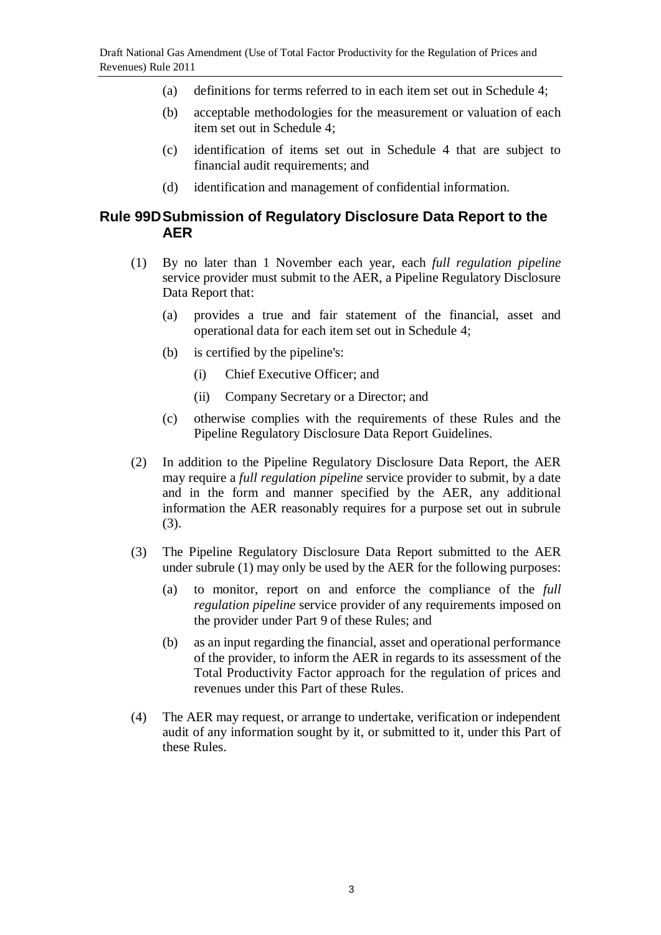- (a) definitions for terms referred to in each item set out in Schedule 4;
- (b) acceptable methodologies for the measurement or valuation of each item set out in Schedule 4;
- (c) identification of items set out in Schedule 4 that are subject to financial audit requirements; and
- (d) identification and management of confidential information.

### **Rule 99DSubmission of Regulatory Disclosure Data Report to the AER**

- (1) By no later than 1 November each year, each *full regulation pipeline* service provider must submit to the AER, a Pipeline Regulatory Disclosure Data Report that:
	- (a) provides a true and fair statement of the financial, asset and operational data for each item set out in Schedule 4;
	- (b) is certified by the pipeline's:
		- (i) Chief Executive Officer; and
		- (ii) Company Secretary or a Director; and
	- (c) otherwise complies with the requirements of these Rules and the Pipeline Regulatory Disclosure Data Report Guidelines.
- (2) In addition to the Pipeline Regulatory Disclosure Data Report, the AER may require a *full regulation pipeline* service provider to submit, by a date and in the form and manner specified by the AER, any additional information the AER reasonably requires for a purpose set out in subrule (3).
- (3) The Pipeline Regulatory Disclosure Data Report submitted to the AER under subrule (1) may only be used by the AER for the following purposes:
	- (a) to monitor, report on and enforce the compliance of the *full regulation pipeline* service provider of any requirements imposed on the provider under Part 9 of these Rules; and
	- (b) as an input regarding the financial, asset and operational performance of the provider, to inform the AER in regards to its assessment of the Total Productivity Factor approach for the regulation of prices and revenues under this Part of these Rules.
- (4) The AER may request, or arrange to undertake, verification or independent audit of any information sought by it, or submitted to it, under this Part of these Rules.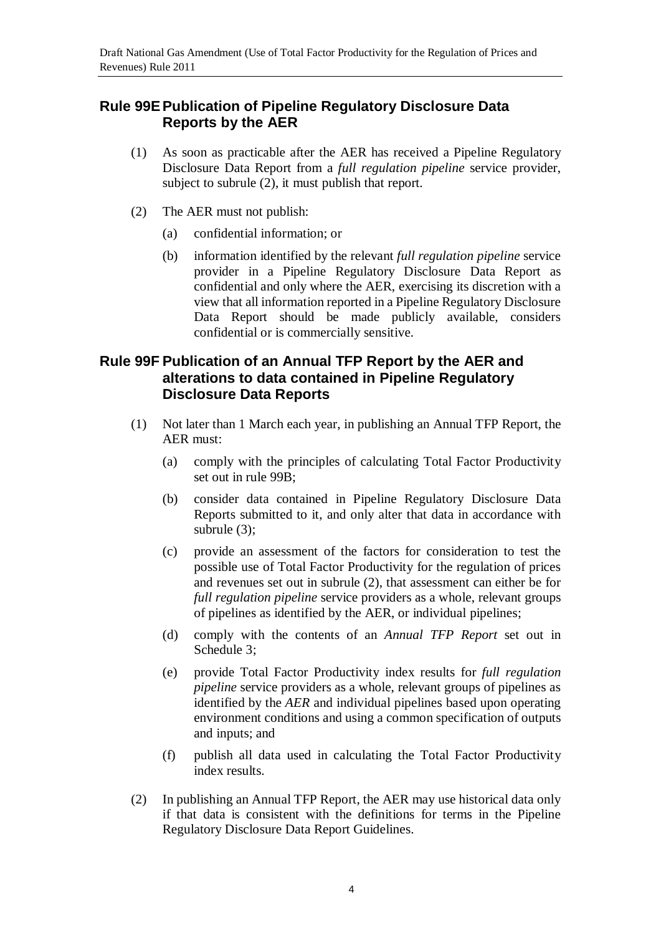### **Rule 99EPublication of Pipeline Regulatory Disclosure Data Reports by the AER**

- (1) As soon as practicable after the AER has received a Pipeline Regulatory Disclosure Data Report from a *full regulation pipeline* service provider, subject to subrule (2), it must publish that report.
- (2) The AER must not publish:
	- (a) confidential information; or
	- (b) information identified by the relevant *full regulation pipeline* service provider in a Pipeline Regulatory Disclosure Data Report as confidential and only where the AER, exercising its discretion with a view that all information reported in a Pipeline Regulatory Disclosure Data Report should be made publicly available, considers confidential or is commercially sensitive.

### **Rule 99F Publication of an Annual TFP Report by the AER and alterations to data contained in Pipeline Regulatory Disclosure Data Reports**

- (1) Not later than 1 March each year, in publishing an Annual TFP Report, the AER must:
	- (a) comply with the principles of calculating Total Factor Productivity set out in rule 99B;
	- (b) consider data contained in Pipeline Regulatory Disclosure Data Reports submitted to it, and only alter that data in accordance with subrule (3);
	- (c) provide an assessment of the factors for consideration to test the possible use of Total Factor Productivity for the regulation of prices and revenues set out in subrule (2), that assessment can either be for *full regulation pipeline* service providers as a whole, relevant groups of pipelines as identified by the AER, or individual pipelines;
	- (d) comply with the contents of an *Annual TFP Report* set out in Schedule 3;
	- (e) provide Total Factor Productivity index results for *full regulation pipeline* service providers as a whole, relevant groups of pipelines as identified by the *AER* and individual pipelines based upon operating environment conditions and using a common specification of outputs and inputs; and
	- (f) publish all data used in calculating the Total Factor Productivity index results.
- (2) In publishing an Annual TFP Report, the AER may use historical data only if that data is consistent with the definitions for terms in the Pipeline Regulatory Disclosure Data Report Guidelines.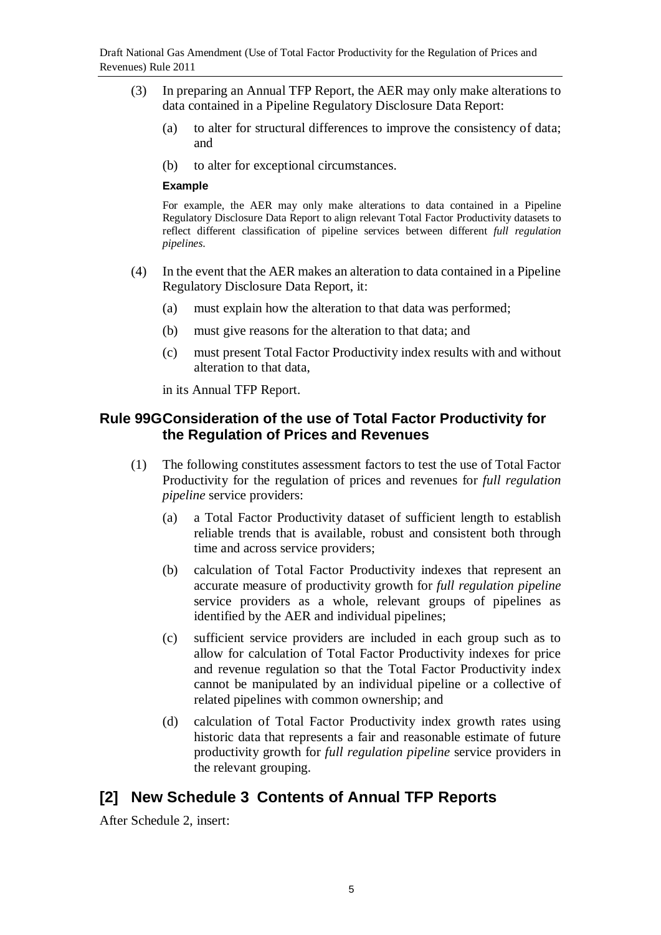- (3) In preparing an Annual TFP Report, the AER may only make alterations to data contained in a Pipeline Regulatory Disclosure Data Report:
	- (a) to alter for structural differences to improve the consistency of data; and
	- (b) to alter for exceptional circumstances.

#### **Example**

For example, the AER may only make alterations to data contained in a Pipeline Regulatory Disclosure Data Report to align relevant Total Factor Productivity datasets to reflect different classification of pipeline services between different *full regulation pipelines*.

- (4) In the event that the AER makes an alteration to data contained in a Pipeline Regulatory Disclosure Data Report, it:
	- (a) must explain how the alteration to that data was performed;
	- (b) must give reasons for the alteration to that data; and
	- (c) must present Total Factor Productivity index results with and without alteration to that data,

in its Annual TFP Report.

### **Rule 99GConsideration of the use of Total Factor Productivity for the Regulation of Prices and Revenues**

- (1) The following constitutes assessment factors to test the use of Total Factor Productivity for the regulation of prices and revenues for *full regulation pipeline* service providers:
	- (a) a Total Factor Productivity dataset of sufficient length to establish reliable trends that is available, robust and consistent both through time and across service providers;
	- (b) calculation of Total Factor Productivity indexes that represent an accurate measure of productivity growth for *full regulation pipeline* service providers as a whole, relevant groups of pipelines as identified by the AER and individual pipelines;
	- (c) sufficient service providers are included in each group such as to allow for calculation of Total Factor Productivity indexes for price and revenue regulation so that the Total Factor Productivity index cannot be manipulated by an individual pipeline or a collective of related pipelines with common ownership; and
	- (d) calculation of Total Factor Productivity index growth rates using historic data that represents a fair and reasonable estimate of future productivity growth for *full regulation pipeline* service providers in the relevant grouping.

# **[2] New Schedule 3 Contents of Annual TFP Reports**

After Schedule 2, insert: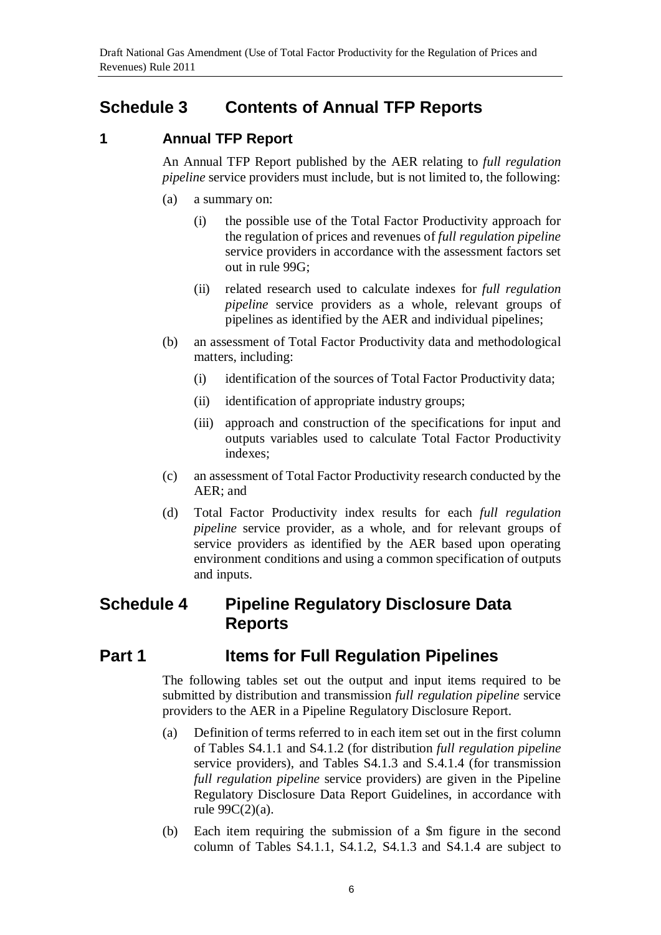# **Schedule 3 Contents of Annual TFP Reports**

### **1 Annual TFP Report**

An Annual TFP Report published by the AER relating to *full regulation pipeline* service providers must include, but is not limited to, the following:

- (a) a summary on:
	- (i) the possible use of the Total Factor Productivity approach for the regulation of prices and revenues of *full regulation pipeline* service providers in accordance with the assessment factors set out in rule 99G;
	- (ii) related research used to calculate indexes for *full regulation pipeline* service providers as a whole, relevant groups of pipelines as identified by the AER and individual pipelines;
- (b) an assessment of Total Factor Productivity data and methodological matters, including:
	- (i) identification of the sources of Total Factor Productivity data;
	- (ii) identification of appropriate industry groups;
	- (iii) approach and construction of the specifications for input and outputs variables used to calculate Total Factor Productivity indexes;
- (c) an assessment of Total Factor Productivity research conducted by the AER; and
- (d) Total Factor Productivity index results for each *full regulation pipeline* service provider, as a whole, and for relevant groups of service providers as identified by the AER based upon operating environment conditions and using a common specification of outputs and inputs.

# **Schedule 4 Pipeline Regulatory Disclosure Data Reports**

# **Part 1 Items for Full Regulation Pipelines**

The following tables set out the output and input items required to be submitted by distribution and transmission *full regulation pipeline* service providers to the AER in a Pipeline Regulatory Disclosure Report.

- (a) Definition of terms referred to in each item set out in the first column of Tables S4.1.1 and S4.1.2 (for distribution *full regulation pipeline* service providers), and Tables S4.1.3 and S.4.1.4 (for transmission *full regulation pipeline* service providers) are given in the Pipeline Regulatory Disclosure Data Report Guidelines, in accordance with rule 99C(2)(a).
- (b) Each item requiring the submission of a \$m figure in the second column of Tables S4.1.1, S4.1.2, S4.1.3 and S4.1.4 are subject to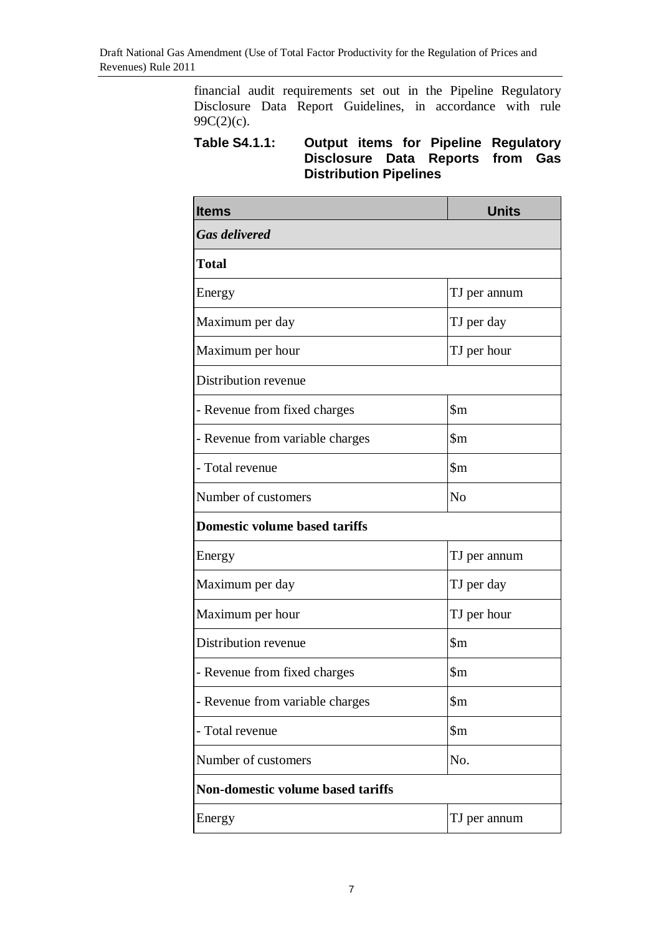financial audit requirements set out in the Pipeline Regulatory Disclosure Data Report Guidelines, in accordance with rule 99 $C(2)(c)$ .

### **Table S4.1.1: Output items for Pipeline Regulatory Disclosure Data Reports from Gas Distribution Pipelines**

| <b>Items</b>                             | <b>Units</b>            |  |
|------------------------------------------|-------------------------|--|
| <b>Gas delivered</b>                     |                         |  |
| <b>Total</b>                             |                         |  |
| Energy                                   | TJ per annum            |  |
| Maximum per day                          | TJ per day              |  |
| Maximum per hour                         | TJ per hour             |  |
| Distribution revenue                     |                         |  |
| - Revenue from fixed charges             | $\mathop{\mathrm{Sm}}$  |  |
| - Revenue from variable charges          | $\mathfrak{m}$          |  |
| - Total revenue                          | $\mathfrak{m}$          |  |
| Number of customers                      | No                      |  |
| <b>Domestic volume based tariffs</b>     |                         |  |
| Energy                                   | TJ per annum            |  |
| Maximum per day                          | TJ per day              |  |
| Maximum per hour                         | TJ per hour             |  |
| Distribution revenue                     | $\mathbb{S}\mathrm{m}$  |  |
| - Revenue from fixed charges             | $\mathop{\mathrm{Sm}}$  |  |
| - Revenue from variable charges          | $\mathop{\$m}\nolimits$ |  |
| - Total revenue                          | $\mathop{\$m}\nolimits$ |  |
| Number of customers                      | No.                     |  |
| <b>Non-domestic volume based tariffs</b> |                         |  |
| Energy                                   | TJ per annum            |  |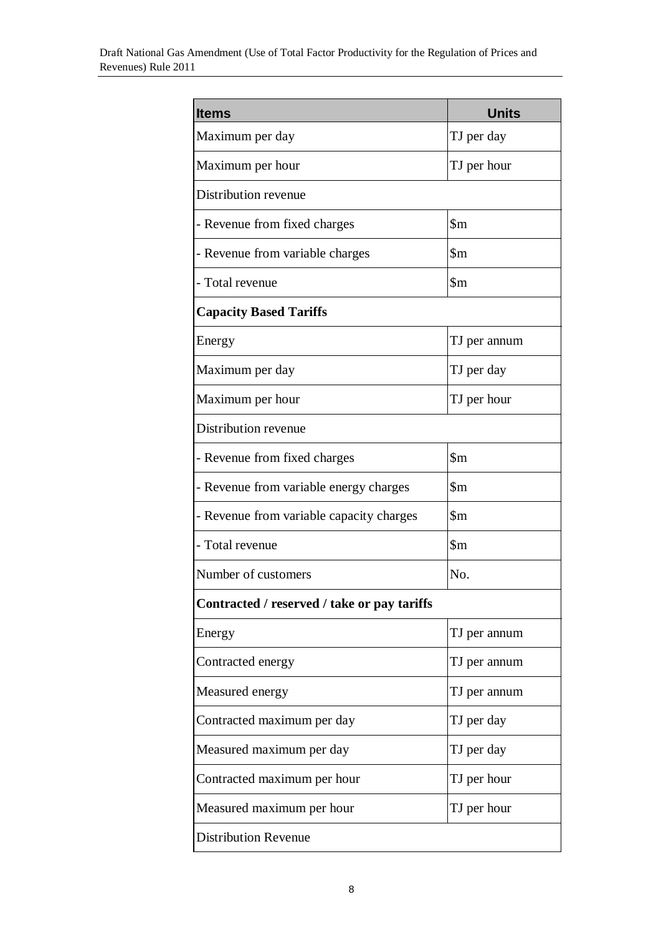| <b>Items</b>                                | <b>Units</b>               |  |
|---------------------------------------------|----------------------------|--|
| Maximum per day                             | TJ per day                 |  |
| Maximum per hour                            | TJ per hour                |  |
| Distribution revenue                        |                            |  |
| - Revenue from fixed charges                | $\mathfrak{m}$             |  |
| - Revenue from variable charges             | $\mathop{\rm Sm}\nolimits$ |  |
| - Total revenue                             | $\mathbf{\$m}$             |  |
| <b>Capacity Based Tariffs</b>               |                            |  |
| Energy                                      | TJ per annum               |  |
| Maximum per day                             | TJ per day                 |  |
| Maximum per hour                            | TJ per hour                |  |
| Distribution revenue                        |                            |  |
| - Revenue from fixed charges                | $\mathop{\mathrm{Sm}}$     |  |
| - Revenue from variable energy charges      | $\mathop{\rm Sm}\nolimits$ |  |
| - Revenue from variable capacity charges    | $\mathop{\rm Sm}\nolimits$ |  |
| - Total revenue                             | $\mathfrak{m}$             |  |
| Number of customers                         | No.                        |  |
| Contracted / reserved / take or pay tariffs |                            |  |
| Energy                                      | TJ per annum               |  |
| Contracted energy                           | TJ per annum               |  |
| Measured energy                             | TJ per annum               |  |
| Contracted maximum per day                  | TJ per day                 |  |
| Measured maximum per day                    | TJ per day                 |  |
| Contracted maximum per hour                 | TJ per hour                |  |
| Measured maximum per hour                   | TJ per hour                |  |
| <b>Distribution Revenue</b>                 |                            |  |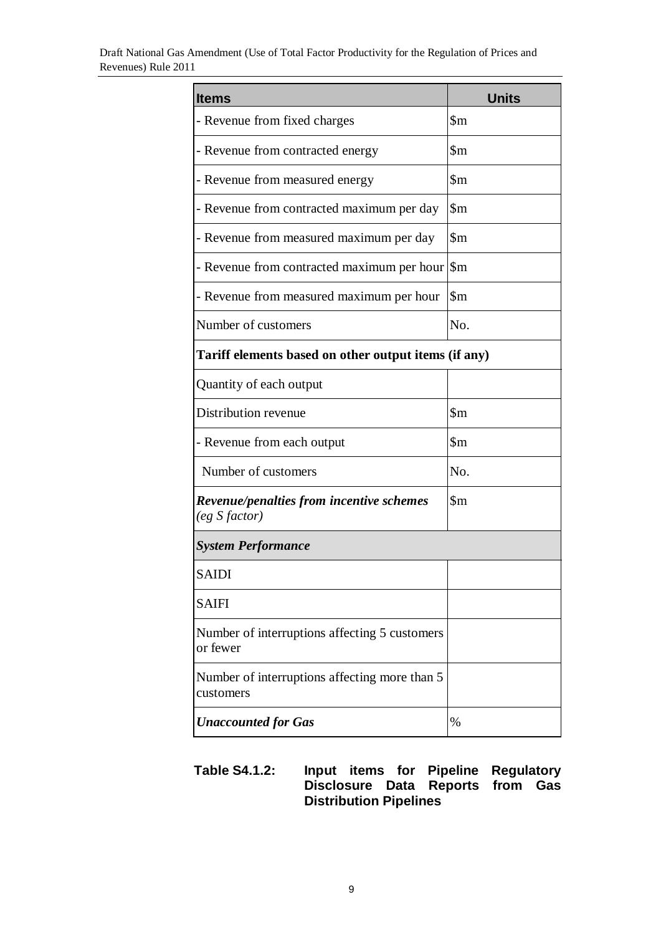| <b>Items</b>                                               | <b>Units</b>               |  |
|------------------------------------------------------------|----------------------------|--|
| - Revenue from fixed charges                               | $\mathfrak{m}$             |  |
| - Revenue from contracted energy                           | $\mathfrak{m}$             |  |
| - Revenue from measured energy                             | $\mathop{\rm Sm}\nolimits$ |  |
| - Revenue from contracted maximum per day                  | $\mathsf{Sm}$              |  |
| - Revenue from measured maximum per day                    | $\mathop{\rm Sm}\nolimits$ |  |
| - Revenue from contracted maximum per hour                 | $\mathfrak{m}$             |  |
| - Revenue from measured maximum per hour                   | $\mathbf{Sm}$              |  |
| Number of customers                                        | No.                        |  |
| Tariff elements based on other output items (if any)       |                            |  |
| Quantity of each output                                    |                            |  |
| Distribution revenue                                       | $\mathfrak{m}$             |  |
| - Revenue from each output                                 | $\mbox{~}$                 |  |
| Number of customers                                        | No.                        |  |
| Revenue/penalties from incentive schemes<br>(eg S factor)  | $\mathop{\mathrm{Sm}}$     |  |
| <b>System Performance</b>                                  |                            |  |
| SAIDI                                                      |                            |  |
| <b>SAIFI</b>                                               |                            |  |
| Number of interruptions affecting 5 customers<br>or fewer  |                            |  |
| Number of interruptions affecting more than 5<br>customers |                            |  |
| <b>Unaccounted for Gas</b>                                 | %                          |  |

### **Table S4.1.2: Input items for Pipeline Regulatory Disclosure Data Reports from Gas Distribution Pipelines**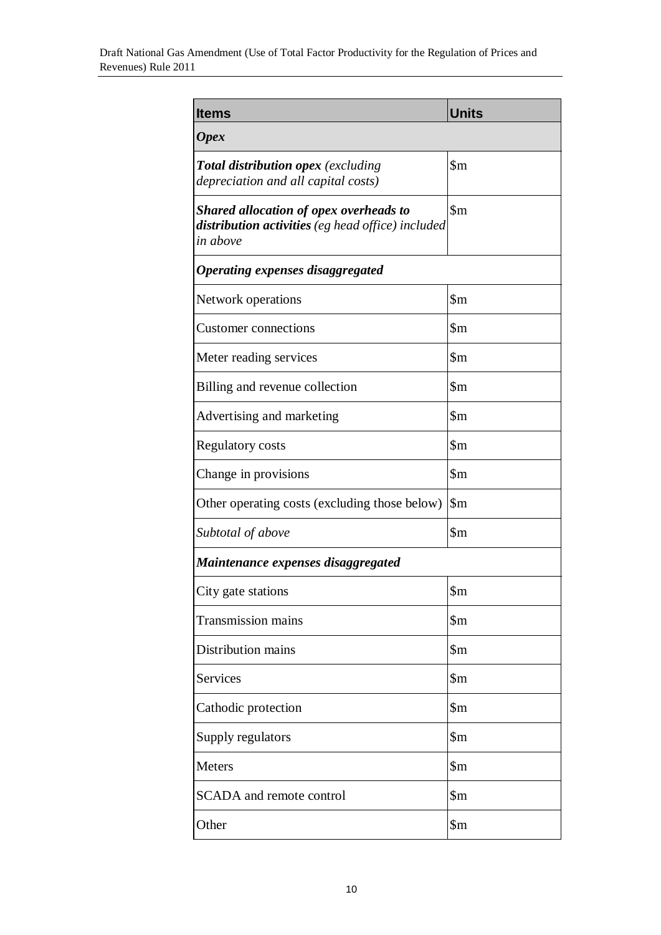| <b>Items</b>                                                                                                   | <b>Units</b>               |  |
|----------------------------------------------------------------------------------------------------------------|----------------------------|--|
| <b>Opex</b>                                                                                                    |                            |  |
| <b>Total distribution opex</b> (excluding<br>depreciation and all capital costs)                               | $\mathop{\rm Sm}\nolimits$ |  |
| <b>Shared allocation of opex overheads to</b><br>distribution activities (eg head office) included<br>in above | $\mathbf{\$m}$             |  |
| Operating expenses disaggregated                                                                               |                            |  |
| Network operations                                                                                             | $\mathsf{Sm}$              |  |
| <b>Customer</b> connections                                                                                    | $\mathfrak{m}$             |  |
| Meter reading services                                                                                         | $\mathop{\mathrm{Sm}}$     |  |
| Billing and revenue collection                                                                                 | $\mathop{\$m}\nolimits$    |  |
| Advertising and marketing                                                                                      | $\mathop{\mathrm{Sm}}$     |  |
| <b>Regulatory costs</b>                                                                                        | $\mathop{\mathrm{Sm}}$     |  |
| Change in provisions                                                                                           | $\mathfrak{m}$             |  |
| Other operating costs (excluding those below)                                                                  | $\mathop{\mathrm{Sm}}$     |  |
| Subtotal of above                                                                                              | $\mathop{\mathrm{Sm}}$     |  |
| Maintenance expenses disaggregated                                                                             |                            |  |
| City gate stations                                                                                             | $\mathop{\$m}\nolimits$    |  |
| <b>Transmission mains</b>                                                                                      | $\mathop{\mathrm{Sm}}$     |  |
| Distribution mains                                                                                             | $\mathop{\mathrm{Sm}}$     |  |
| <b>Services</b>                                                                                                | $\mathop{\$m}$             |  |
| Cathodic protection                                                                                            | \$m                        |  |
| Supply regulators                                                                                              | \$m                        |  |
| <b>Meters</b>                                                                                                  | $\mathop{\mathrm{Sm}}$     |  |
| <b>SCADA</b> and remote control                                                                                | $\mathop{\$m}$             |  |
| Other                                                                                                          | $\mathop{\$m}\nolimits$    |  |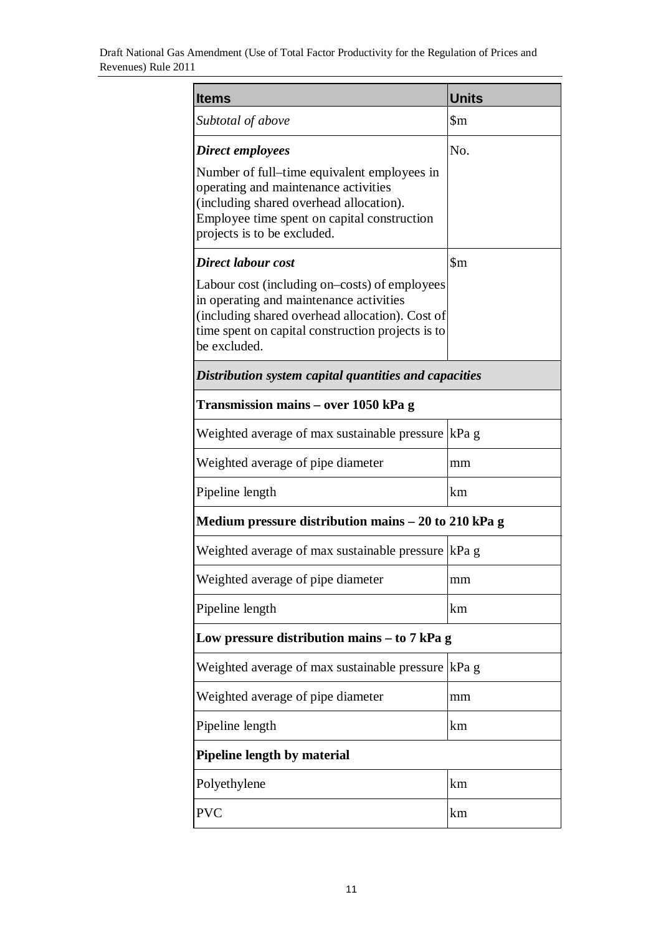| <b>Items</b>                                                                                                                                                                                                     | <b>Units</b>               |  |
|------------------------------------------------------------------------------------------------------------------------------------------------------------------------------------------------------------------|----------------------------|--|
| Subtotal of above                                                                                                                                                                                                | $\mathop{\rm Sm}\nolimits$ |  |
| Direct employees                                                                                                                                                                                                 | No.                        |  |
| Number of full–time equivalent employees in<br>operating and maintenance activities<br>(including shared overhead allocation).<br>Employee time spent on capital construction<br>projects is to be excluded.     |                            |  |
| Direct labour cost                                                                                                                                                                                               | $\mathop{\mathrm{Sm}}$     |  |
| Labour cost (including on–costs) of employees<br>in operating and maintenance activities<br>(including shared overhead allocation). Cost of<br>time spent on capital construction projects is to<br>be excluded. |                            |  |
| Distribution system capital quantities and capacities                                                                                                                                                            |                            |  |
| Transmission mains – over 1050 kPa g                                                                                                                                                                             |                            |  |
| Weighted average of max sustainable pressure  kPa g                                                                                                                                                              |                            |  |
| Weighted average of pipe diameter                                                                                                                                                                                | mm                         |  |
| Pipeline length                                                                                                                                                                                                  | km                         |  |
| Medium pressure distribution mains $-20$ to 210 kPa g                                                                                                                                                            |                            |  |
| Weighted average of max sustainable pressure   kPa g                                                                                                                                                             |                            |  |
| Weighted average of pipe diameter                                                                                                                                                                                | mm                         |  |
| Pipeline length                                                                                                                                                                                                  | km                         |  |
| Low pressure distribution mains $-$ to $7$ kPa g                                                                                                                                                                 |                            |  |
| Weighted average of max sustainable pressure  kPa g                                                                                                                                                              |                            |  |
| Weighted average of pipe diameter                                                                                                                                                                                | mm                         |  |
| Pipeline length                                                                                                                                                                                                  | km                         |  |
| <b>Pipeline length by material</b>                                                                                                                                                                               |                            |  |
| Polyethylene                                                                                                                                                                                                     | km                         |  |
| <b>PVC</b>                                                                                                                                                                                                       | km                         |  |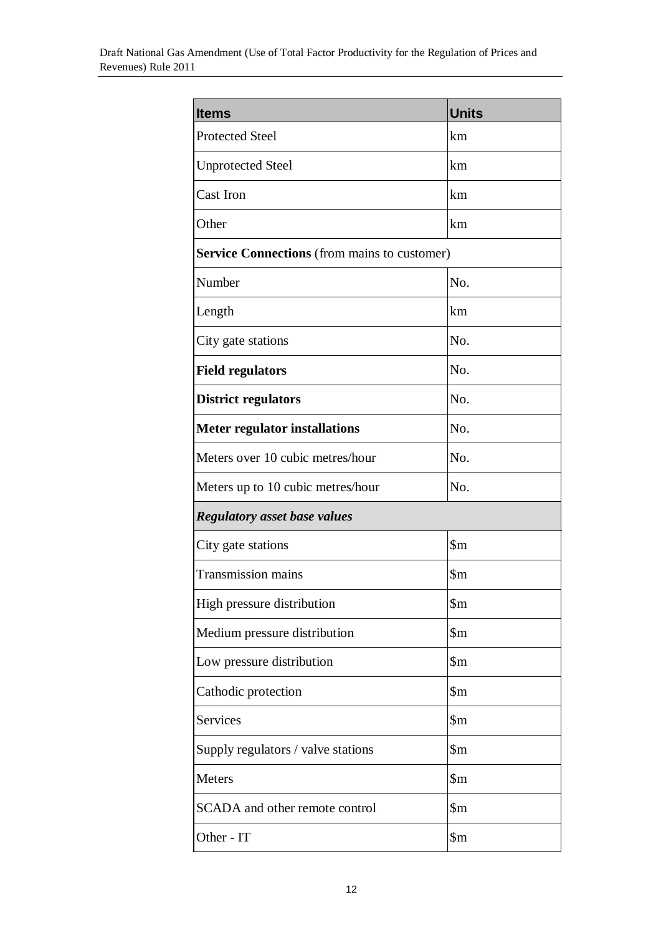| <b>Items</b>                                        | <b>Units</b>            |
|-----------------------------------------------------|-------------------------|
| <b>Protected Steel</b>                              | km                      |
| <b>Unprotected Steel</b>                            | km                      |
| <b>Cast Iron</b>                                    | km                      |
| Other                                               | km                      |
| <b>Service Connections</b> (from mains to customer) |                         |
| Number                                              | No.                     |
| Length                                              | km                      |
| City gate stations                                  | No.                     |
| <b>Field regulators</b>                             | No.                     |
| <b>District regulators</b>                          | No.                     |
| <b>Meter regulator installations</b>                | No.                     |
| Meters over 10 cubic metres/hour                    | No.                     |
| Meters up to 10 cubic metres/hour                   | No.                     |
| <b>Regulatory asset base values</b>                 |                         |
| City gate stations                                  | $\mathop{\mathrm{Sm}}$  |
| <b>Transmission mains</b>                           | $\mathfrak{m}$          |
| High pressure distribution                          | $\mbox{~}$              |
| Medium pressure distribution                        | $\mathop{\$m}\nolimits$ |
| Low pressure distribution                           | $\mathop{\mathrm{Sm}}$  |
| Cathodic protection                                 | $\mathop{\mathrm{Sm}}$  |
| <b>Services</b>                                     | $\mathop{\$m}$          |
| Supply regulators / valve stations                  | $\mathop{\$m}$          |
| Meters                                              | $\mathop{\$m}\nolimits$ |
| SCADA and other remote control                      | $\mathop{\$m}$          |
| Other - IT                                          | $\mbox{~}$              |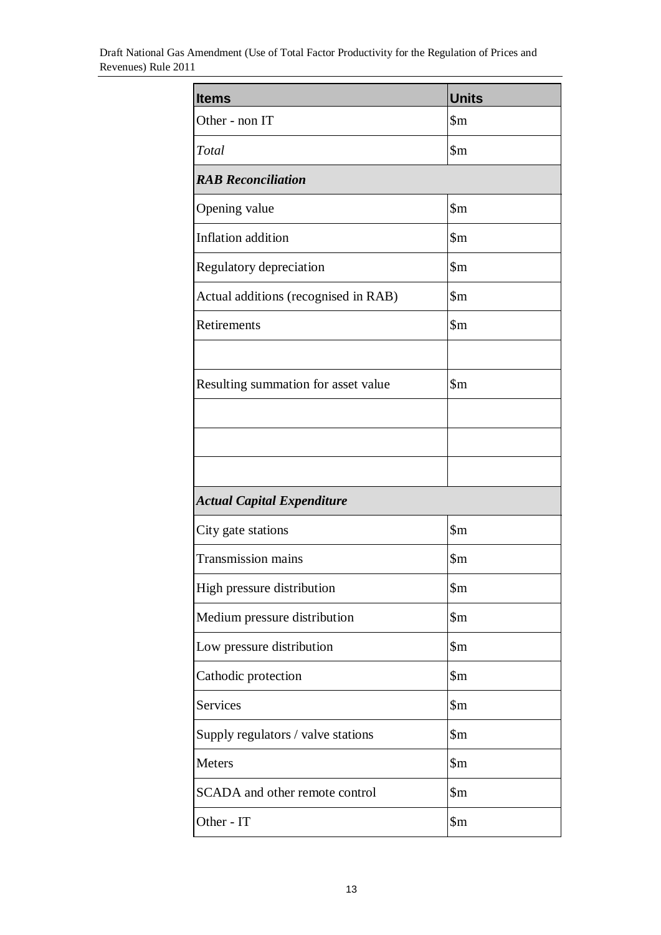| <b>Items</b>                         | <b>Units</b>            |
|--------------------------------------|-------------------------|
| Other - non IT                       | $\mathop{\mathrm{Sm}}$  |
| Total                                | $\mathop{\mathrm{Sm}}$  |
| <b>RAB</b> Reconciliation            |                         |
| Opening value                        | $\mathop{\mathrm{Sm}}$  |
| Inflation addition                   | $\mathop{\mathrm{Sm}}$  |
| Regulatory depreciation              | $\mathop{\mathrm{Sm}}$  |
| Actual additions (recognised in RAB) | $\mathop{\mathrm{Sm}}$  |
| Retirements                          | $\mathop{\$m}$          |
|                                      |                         |
| Resulting summation for asset value  | $\mathop{\mathrm{Sm}}$  |
|                                      |                         |
|                                      |                         |
|                                      |                         |
| <b>Actual Capital Expenditure</b>    |                         |
| City gate stations                   | $\mathop{\mathrm{Sm}}$  |
| <b>Transmission mains</b>            | $\mathop{\mathrm{Sm}}$  |
| High pressure distribution           | $\mathop{\$m}$          |
| Medium pressure distribution         | $\mathop{\$m}\nolimits$ |
| Low pressure distribution            | $\mathop{\$m}$          |
| Cathodic protection                  | $\mathop{\$m}\nolimits$ |
| <b>Services</b>                      | $\mathop{\$m}\nolimits$ |
| Supply regulators / valve stations   | $\mathop{\$m}$          |
| Meters                               | $\mathop{\$m}$          |
| SCADA and other remote control       | $\mathop{\$m}$          |
| Other - IT                           | $\mathop{\$m}$          |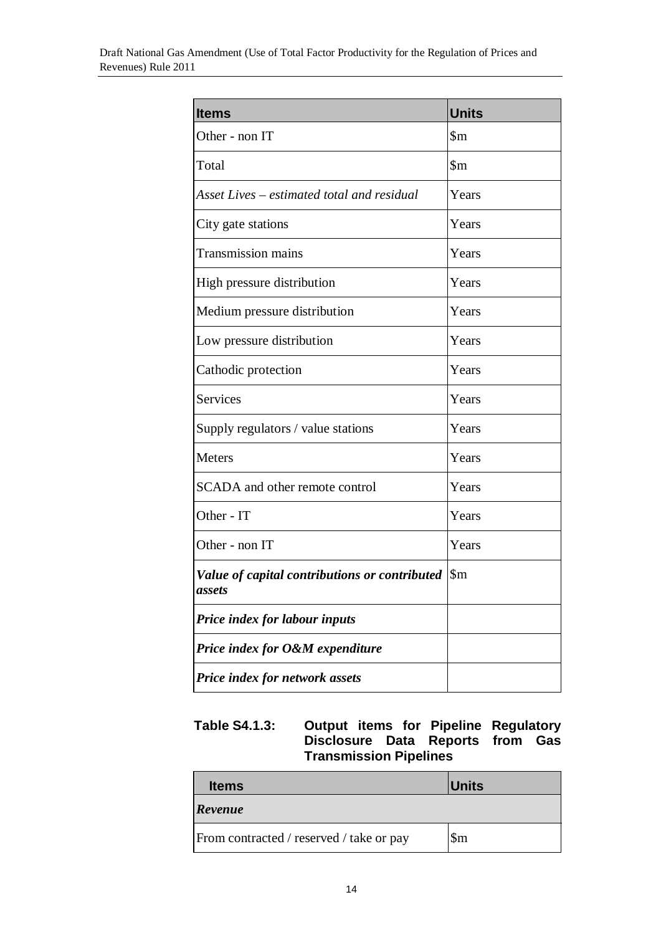| <b>Items</b>                                            | <b>Units</b>           |
|---------------------------------------------------------|------------------------|
| Other - non IT                                          | $\mathop{\mathrm{Sm}}$ |
| Total                                                   | $\mathop{\mathrm{Sm}}$ |
| Asset Lives – estimated total and residual              | Years                  |
| City gate stations                                      | Years                  |
| <b>Transmission mains</b>                               | Years                  |
| High pressure distribution                              | Years                  |
| Medium pressure distribution                            | Years                  |
| Low pressure distribution                               | Years                  |
| Cathodic protection                                     | Years                  |
| <b>Services</b>                                         | Years                  |
| Supply regulators / value stations                      | Years                  |
| Meters                                                  | Years                  |
| SCADA and other remote control                          | Years                  |
| Other - IT                                              | Years                  |
| Other - non IT                                          | Years                  |
| Value of capital contributions or contributed<br>assets | $\mathop{\mathrm{Sm}}$ |
| Price index for labour inputs                           |                        |
| Price index for O&M expenditure                         |                        |
| Price index for network assets                          |                        |

### **Table S4.1.3: Output items for Pipeline Regulatory Disclosure Data Reports from Gas Transmission Pipelines**

| <b>Items</b>                             | <b>Units</b>     |
|------------------------------------------|------------------|
| Revenue                                  |                  |
| From contracted / reserved / take or pay | $\mathbb{S}_{m}$ |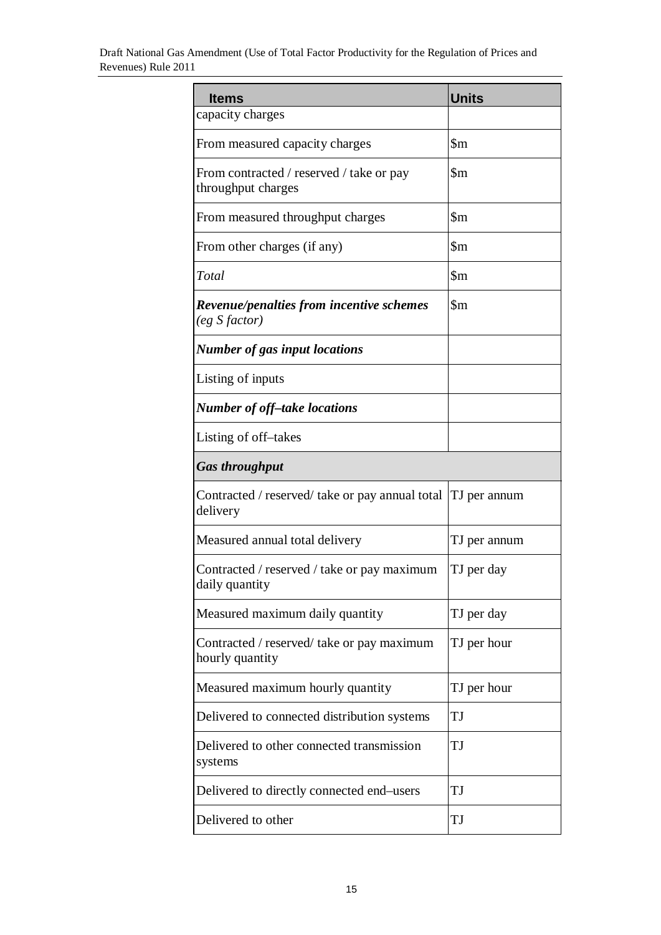| <b>Items</b>                                                         | <b>Units</b>           |
|----------------------------------------------------------------------|------------------------|
| capacity charges                                                     |                        |
| From measured capacity charges                                       | $\mathop{\mathrm{Sm}}$ |
| From contracted / reserved / take or pay<br>throughput charges       | $\mathop{\mathrm{Sm}}$ |
| From measured throughput charges                                     | $\mathop{\mathrm{Sm}}$ |
| From other charges (if any)                                          | $\mathop{\mathrm{Sm}}$ |
| Total                                                                | $\mathop{\mathrm{Sm}}$ |
| <b>Revenue/penalties from incentive schemes</b><br>$(eg\;S\;factor)$ | $\mathfrak{m}$         |
| <b>Number of gas input locations</b>                                 |                        |
| Listing of inputs                                                    |                        |
| <b>Number of off-take locations</b>                                  |                        |
| Listing of off-takes                                                 |                        |
| <b>Gas throughput</b>                                                |                        |
| Contracted / reserved/ take or pay annual total<br>delivery          | TJ per annum           |
| Measured annual total delivery                                       | TJ per annum           |
| Contracted / reserved / take or pay maximum<br>daily quantity        | TJ per day             |
| Measured maximum daily quantity                                      | TJ per day             |
| Contracted / reserved/ take or pay maximum<br>hourly quantity        | TJ per hour            |
| Measured maximum hourly quantity                                     | TJ per hour            |
| Delivered to connected distribution systems                          | TJ                     |
| Delivered to other connected transmission<br>systems                 | TJ                     |
| Delivered to directly connected end–users                            | TJ                     |
| Delivered to other                                                   | TJ                     |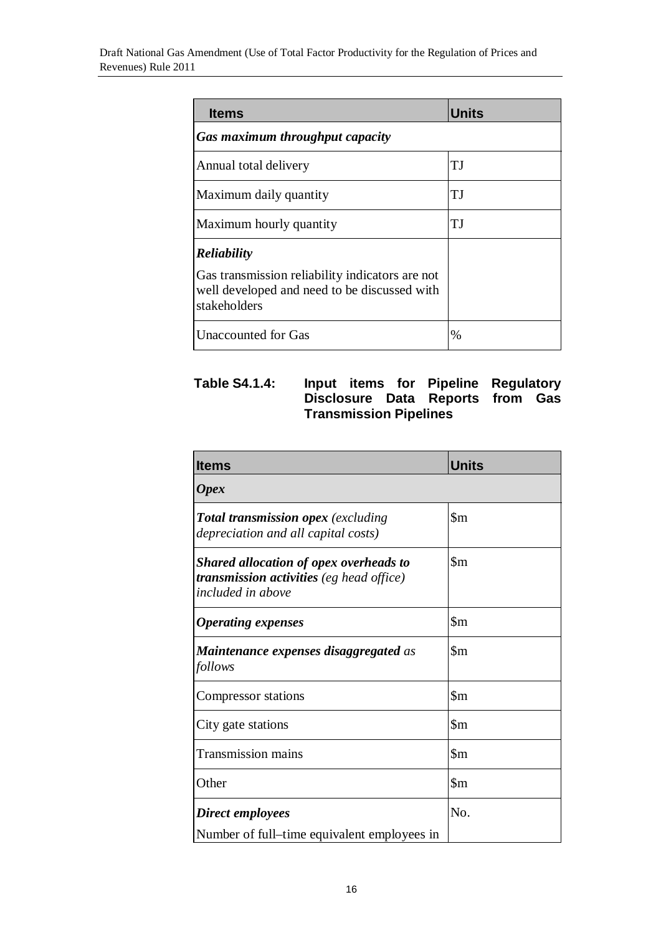| <b>Items</b>                                                                                                                          | <b>Units</b> |
|---------------------------------------------------------------------------------------------------------------------------------------|--------------|
| Gas maximum throughput capacity                                                                                                       |              |
| Annual total delivery                                                                                                                 | ТJ           |
| Maximum daily quantity                                                                                                                | ТJ           |
| Maximum hourly quantity                                                                                                               | ТJ           |
| <b>Reliability</b><br>Gas transmission reliability indicators are not<br>well developed and need to be discussed with<br>stakeholders |              |
| <b>Unaccounted for Gas</b>                                                                                                            | $\%$         |

### **Table S4.1.4: Input items for Pipeline Regulatory Disclosure Data Reports from Gas Transmission Pipelines**

| <b>Items</b>                                                                                                          | <b>Units</b>               |
|-----------------------------------------------------------------------------------------------------------------------|----------------------------|
| <b>Opex</b>                                                                                                           |                            |
| <b>Total transmission opex</b> (excluding<br>depreciation and all capital costs)                                      | $\mathop{\mathrm{Sm}}$     |
| <b>Shared allocation of opex overheads to</b><br>transmission activities (eg head office)<br><i>included in above</i> | $\mathop{\mathrm{Sm}}$     |
| <b>Operating expenses</b>                                                                                             | $\mathop{\mathrm{Sm}}$     |
| <b>Maintenance expenses disaggregated as</b><br>follows                                                               | $\mathbf{\S}$ m            |
| Compressor stations                                                                                                   | $\mathop{\rm Sm}\nolimits$ |
| City gate stations                                                                                                    | $\mathop{\mathrm{Sm}}$     |
| <b>Transmission mains</b>                                                                                             | $\mathbb{S}_{m}$           |
| Other                                                                                                                 | $\mathop{\mathrm{Sm}}$     |
| Direct employees                                                                                                      | N <sub>0</sub>             |
| Number of full–time equivalent employees in                                                                           |                            |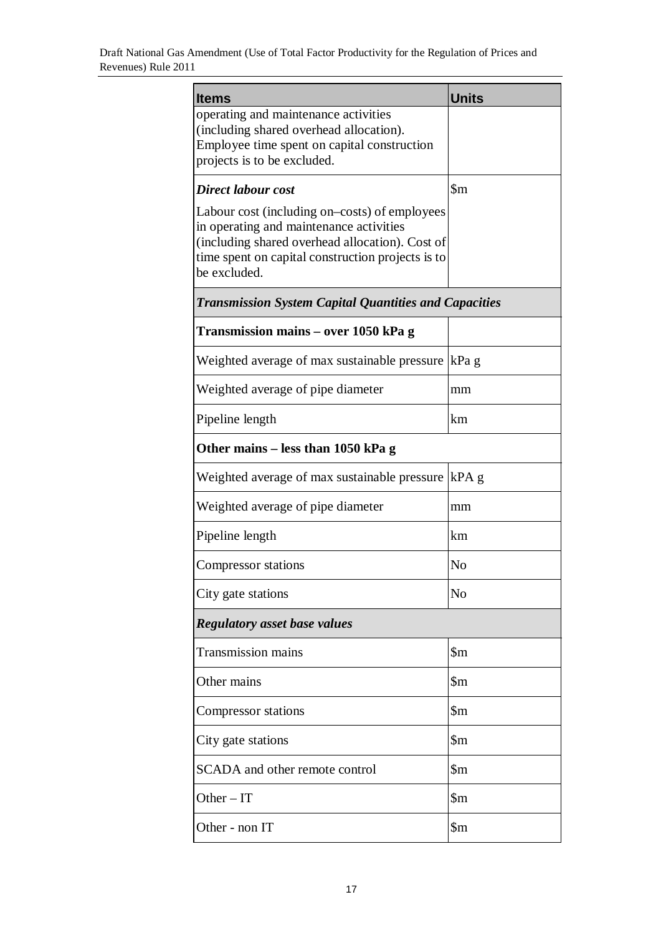| <b>Items</b>                                                                                                                                                                                                     | <b>Units</b>               |  |
|------------------------------------------------------------------------------------------------------------------------------------------------------------------------------------------------------------------|----------------------------|--|
| operating and maintenance activities<br>(including shared overhead allocation).<br>Employee time spent on capital construction<br>projects is to be excluded.                                                    |                            |  |
| Direct labour cost                                                                                                                                                                                               | $\mathop{\mathrm{Sm}}$     |  |
| Labour cost (including on–costs) of employees<br>in operating and maintenance activities<br>(including shared overhead allocation). Cost of<br>time spent on capital construction projects is to<br>be excluded. |                            |  |
| <b>Transmission System Capital Quantities and Capacities</b>                                                                                                                                                     |                            |  |
| Transmission mains – over 1050 kPa g                                                                                                                                                                             |                            |  |
| Weighted average of max sustainable pressure                                                                                                                                                                     | kPa g                      |  |
| Weighted average of pipe diameter                                                                                                                                                                                | mm                         |  |
| Pipeline length                                                                                                                                                                                                  | km                         |  |
| Other mains – less than 1050 kPa g                                                                                                                                                                               |                            |  |
| Weighted average of max sustainable pressure                                                                                                                                                                     | $kPA$ g                    |  |
| Weighted average of pipe diameter                                                                                                                                                                                | mm                         |  |
| Pipeline length                                                                                                                                                                                                  | km                         |  |
| Compressor stations                                                                                                                                                                                              | N <sub>0</sub>             |  |
| City gate stations                                                                                                                                                                                               | N <sub>0</sub>             |  |
| <b>Regulatory asset base values</b>                                                                                                                                                                              |                            |  |
| <b>Transmission mains</b>                                                                                                                                                                                        | $\mathop{\mathrm{Sm}}$     |  |
| Other mains                                                                                                                                                                                                      | $\mathop{\mathrm{Sm}}$     |  |
| Compressor stations                                                                                                                                                                                              | $\mathop{\rm Sm}\nolimits$ |  |
| City gate stations                                                                                                                                                                                               | $\mathop{\mathrm{Sm}}$     |  |
| SCADA and other remote control                                                                                                                                                                                   | $\mathop{\rm Sm}\nolimits$ |  |
| Other $-IT$                                                                                                                                                                                                      | $\mathop{\rm Sm}\nolimits$ |  |
| Other - non IT                                                                                                                                                                                                   | $\mathop{\mathrm{Sm}}$     |  |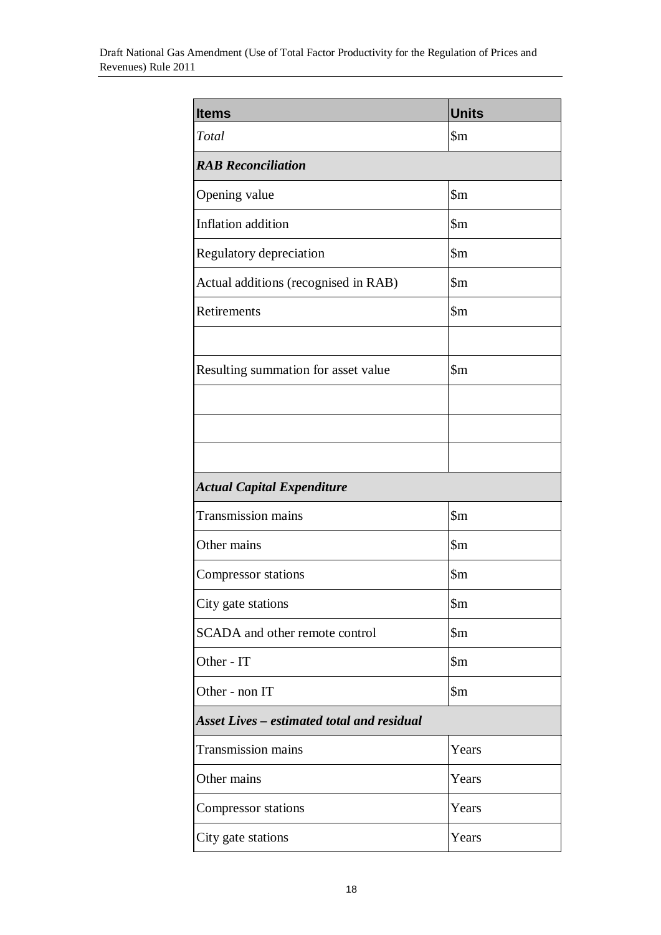| <b>Items</b>                                      | <b>Units</b>               |  |
|---------------------------------------------------|----------------------------|--|
| Total                                             | $\mathop{\mathrm{Sm}}$     |  |
| <b>RAB</b> Reconciliation                         |                            |  |
| Opening value                                     | $\mathop{\mathrm{Sm}}$     |  |
| Inflation addition                                | $\mathop{\$m}\nolimits$    |  |
| Regulatory depreciation                           | $\mathop{\rm Sm}\nolimits$ |  |
| Actual additions (recognised in RAB)              | $\mathop{\rm Sm}\nolimits$ |  |
| Retirements                                       | $\mathop{\mathrm{Sm}}$     |  |
|                                                   |                            |  |
| Resulting summation for asset value               | $\mathop{\mathrm{Sm}}$     |  |
|                                                   |                            |  |
|                                                   |                            |  |
|                                                   |                            |  |
| <b>Actual Capital Expenditure</b>                 |                            |  |
| <b>Transmission mains</b>                         | $\mathop{\mathrm{Sm}}$     |  |
| Other mains                                       | $\mathop{\mathrm{Sm}}$     |  |
| <b>Compressor</b> stations                        | $\mathop{\mathrm{Sm}}$     |  |
| City gate stations                                | $\mathop{\$m}\nolimits$    |  |
| SCADA and other remote control                    | $\mathop{\$m}\nolimits$    |  |
| Other - IT                                        | $\mathop{\rm Sm}\nolimits$ |  |
| Other - non IT                                    | $\mathop{\$m}$             |  |
| <b>Asset Lives – estimated total and residual</b> |                            |  |
| <b>Transmission mains</b>                         | Years                      |  |
| Other mains                                       | Years                      |  |
| Compressor stations                               | Years                      |  |
| City gate stations                                | Years                      |  |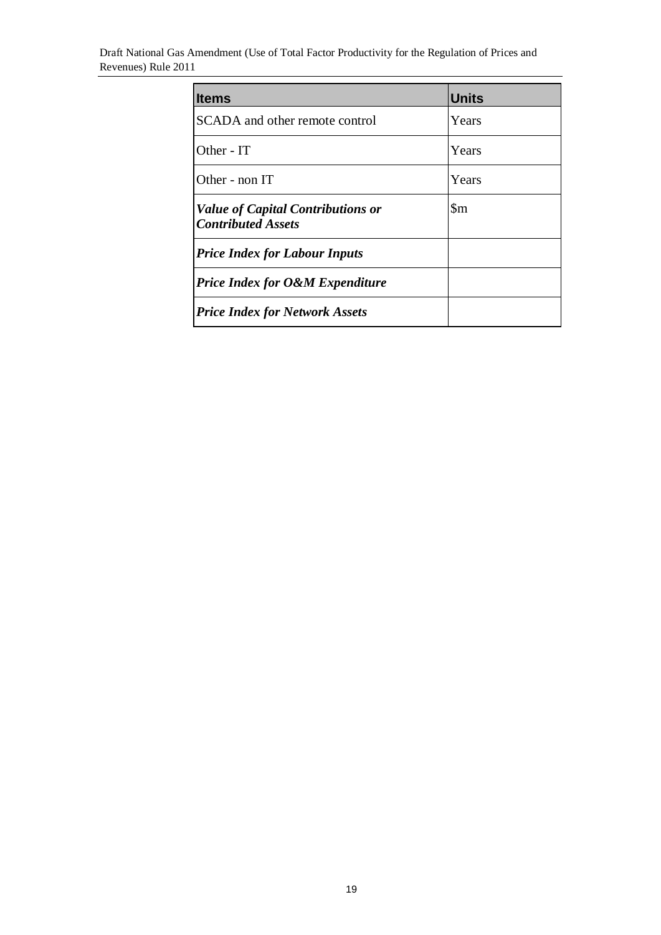| <b>Items</b>                                                          | <b>Units</b>           |
|-----------------------------------------------------------------------|------------------------|
| SCADA and other remote control                                        | Years                  |
| Other - IT                                                            | Years                  |
| Other - non IT                                                        | Years                  |
| <b>Value of Capital Contributions or</b><br><b>Contributed Assets</b> | $\mathop{\mathrm{Sm}}$ |
| <b>Price Index for Labour Inputs</b>                                  |                        |
| <b>Price Index for O&amp;M Expenditure</b>                            |                        |
| <b>Price Index for Network Assets</b>                                 |                        |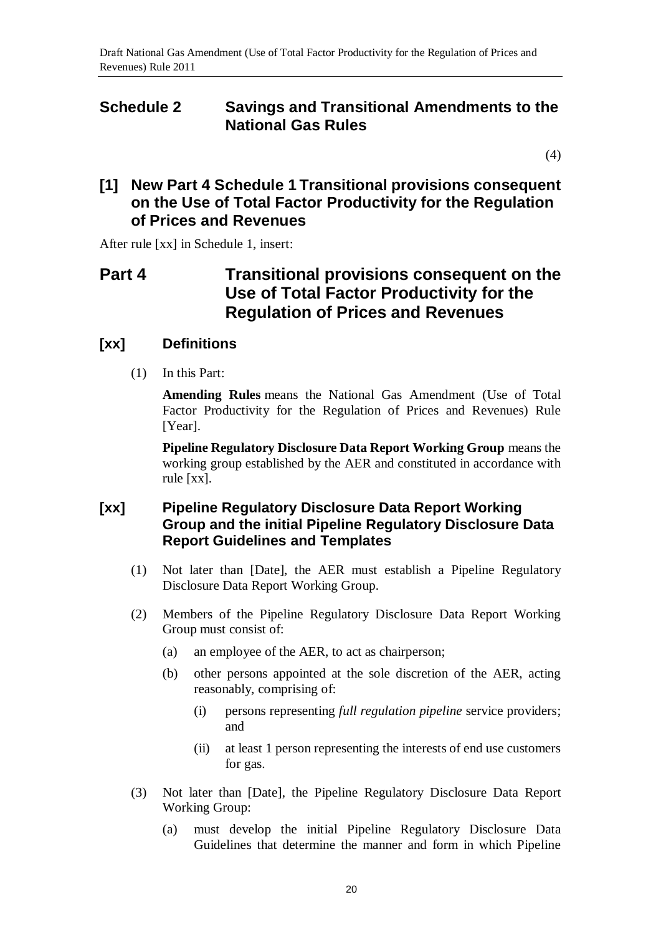# <span id="page-19-0"></span>**Schedule 2 Savings and Transitional Amendments to the National Gas Rules**

[\(4\)](#page-0-1)

### **[1] New Part 4 Schedule 1 Transitional provisions consequent on the Use of Total Factor Productivity for the Regulation of Prices and Revenues**

After rule [xx] in Schedule 1, insert:

# **Part 4 Transitional provisions consequent on the Use of Total Factor Productivity for the Regulation of Prices and Revenues**

### **[xx] Definitions**

(1) In this Part:

**Amending Rules** means the National Gas Amendment (Use of Total Factor Productivity for the Regulation of Prices and Revenues) Rule [Year].

**Pipeline Regulatory Disclosure Data Report Working Group** means the working group established by the AER and constituted in accordance with rule [xx].

### **[xx] Pipeline Regulatory Disclosure Data Report Working Group and the initial Pipeline Regulatory Disclosure Data Report Guidelines and Templates**

- (1) Not later than [Date], the AER must establish a Pipeline Regulatory Disclosure Data Report Working Group.
- (2) Members of the Pipeline Regulatory Disclosure Data Report Working Group must consist of:
	- (a) an employee of the AER, to act as chairperson;
	- (b) other persons appointed at the sole discretion of the AER, acting reasonably, comprising of:
		- (i) persons representing *full regulation pipeline* service providers; and
		- (ii) at least 1 person representing the interests of end use customers for gas.
- (3) Not later than [Date], the Pipeline Regulatory Disclosure Data Report Working Group:
	- (a) must develop the initial Pipeline Regulatory Disclosure Data Guidelines that determine the manner and form in which Pipeline